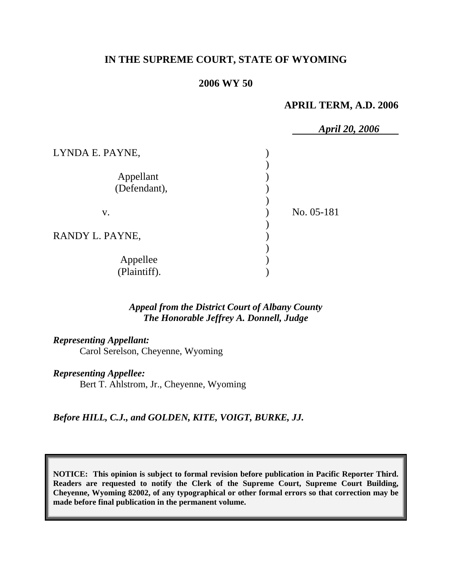# **IN THE SUPREME COURT, STATE OF WYOMING**

#### **2006 WY 50**

#### **APRIL TERM, A.D. 2006**

|                 | <b>April 20, 2006</b> |
|-----------------|-----------------------|
| LYNDA E. PAYNE, |                       |
|                 |                       |
| Appellant       |                       |
| (Defendant),    |                       |
|                 |                       |
| V.              | No. 05-181            |
|                 |                       |
| RANDY L. PAYNE, |                       |
|                 |                       |
| Appellee        |                       |
| (Plaintiff).    |                       |

### *Appeal from the District Court of Albany County The Honorable Jeffrey A. Donnell, Judge*

*Representing Appellant:*

Carol Serelson, Cheyenne, Wyoming

*Representing Appellee:*

Bert T. Ahlstrom, Jr., Cheyenne, Wyoming

*Before HILL, C.J., and GOLDEN, KITE, VOIGT, BURKE, JJ.* 

**NOTICE: This opinion is subject to formal revision before publication in Pacific Reporter Third. Readers are requested to notify the Clerk of the Supreme Court, Supreme Court Building, Cheyenne, Wyoming 82002, of any typographical or other formal errors so that correction may be made before final publication in the permanent volume.**